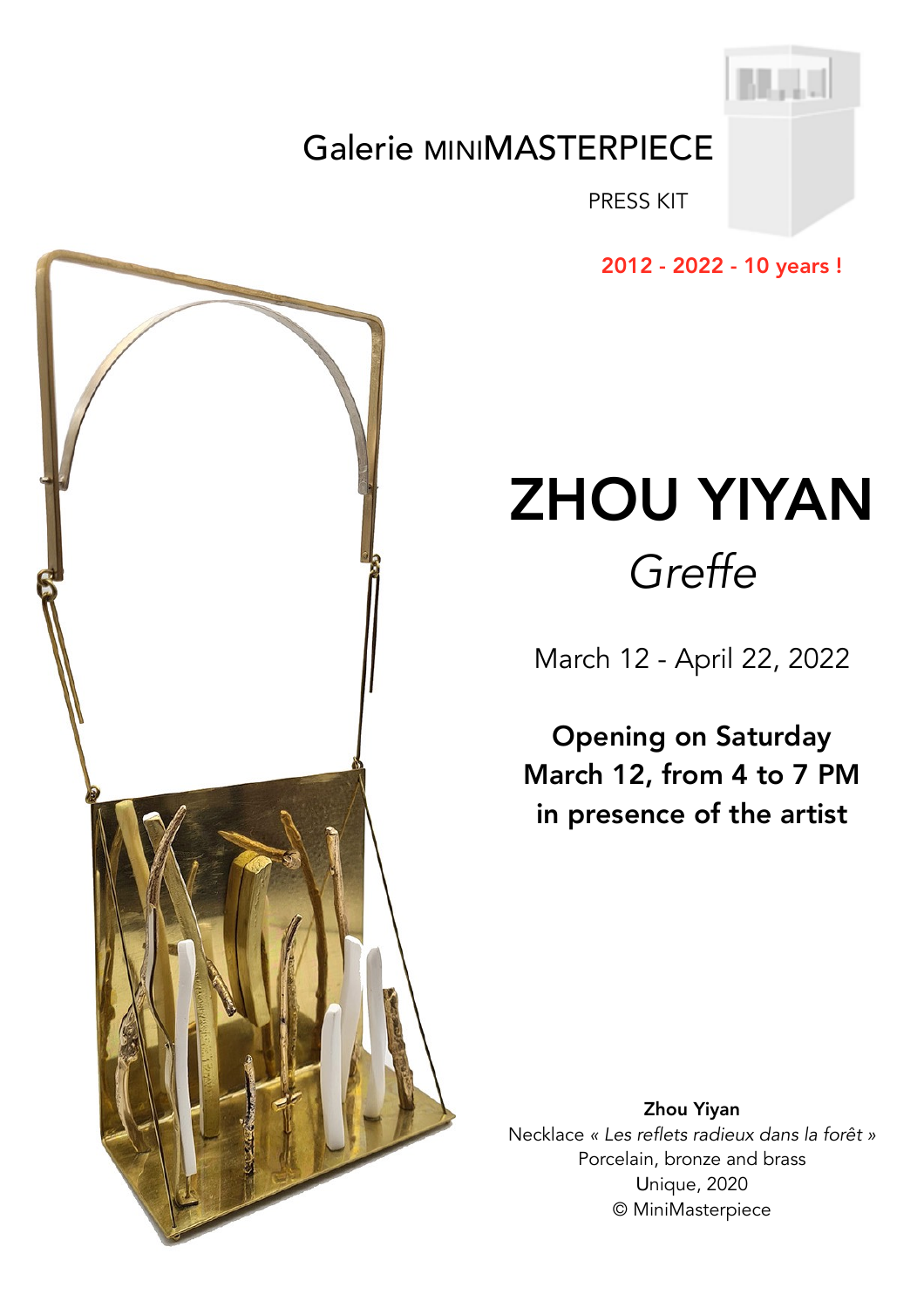

## Galerie MINIMASTERPIECE

PRESS KIT

2012 - 2022 - 10 years !

## ZHOU YIYAN *Greffe*

March 12 - April 22, 2022

Opening on Saturday March 12, from 4 to 7 PM in presence of the artist

Zhou Yiyan Necklace *« Les reflets radieux dans la forêt »* Porcelain, bronze and brass Unique, 2020 © MiniMasterpiece

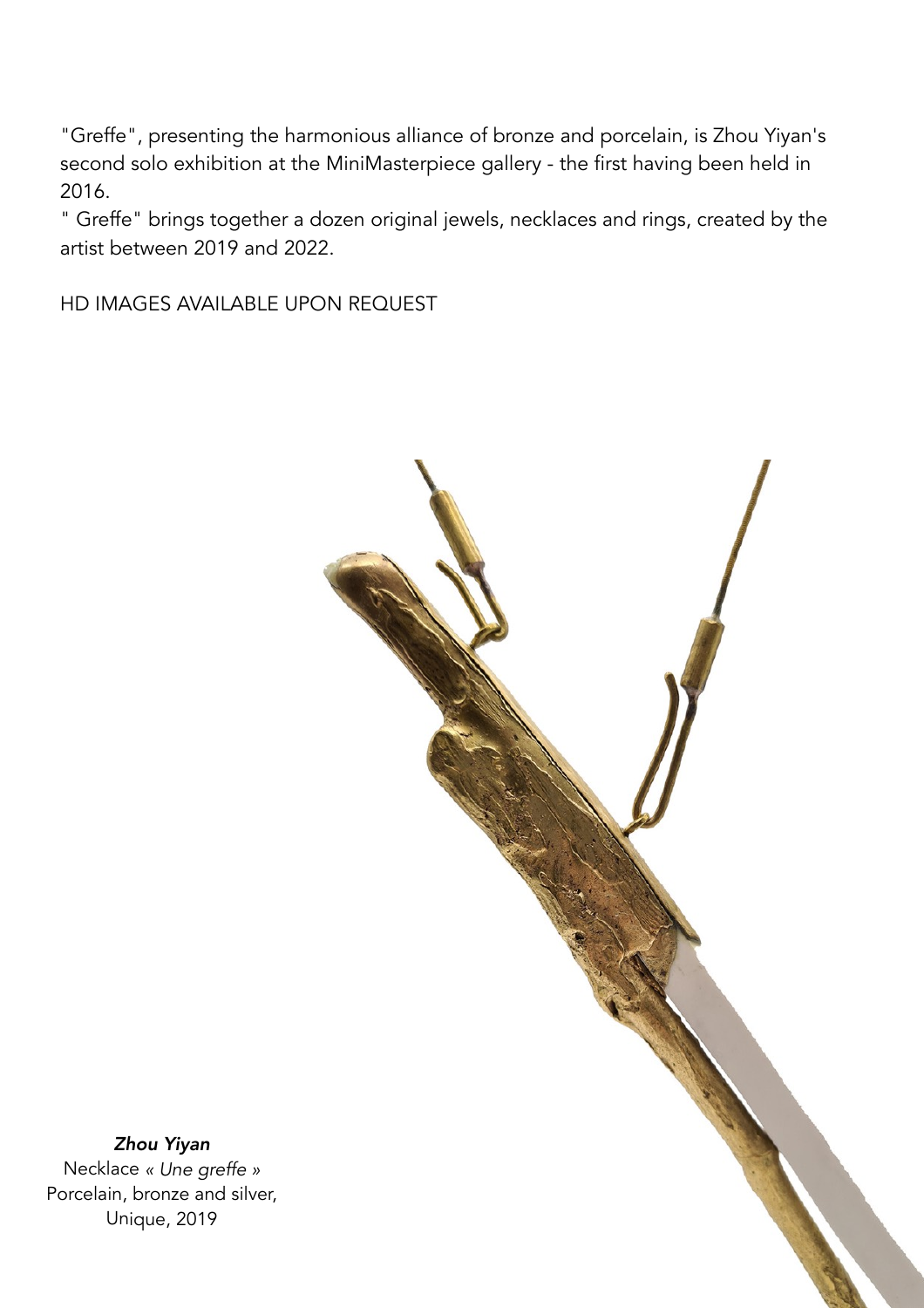"Greffe", presenting the harmonious alliance of bronze and porcelain, is Zhou Yiyan's second solo exhibition at the MiniMasterpiece gallery - the first having been held in 2016.

" Greffe" brings together a dozen original jewels, necklaces and rings, created by the artist between 2019 and 2022.

HD IMAGES AVAILABLE UPON REQUEST



*Zhou Yiyan* Necklace *« Une greffe »*  Porcelain, bronze and silver, Unique, 2019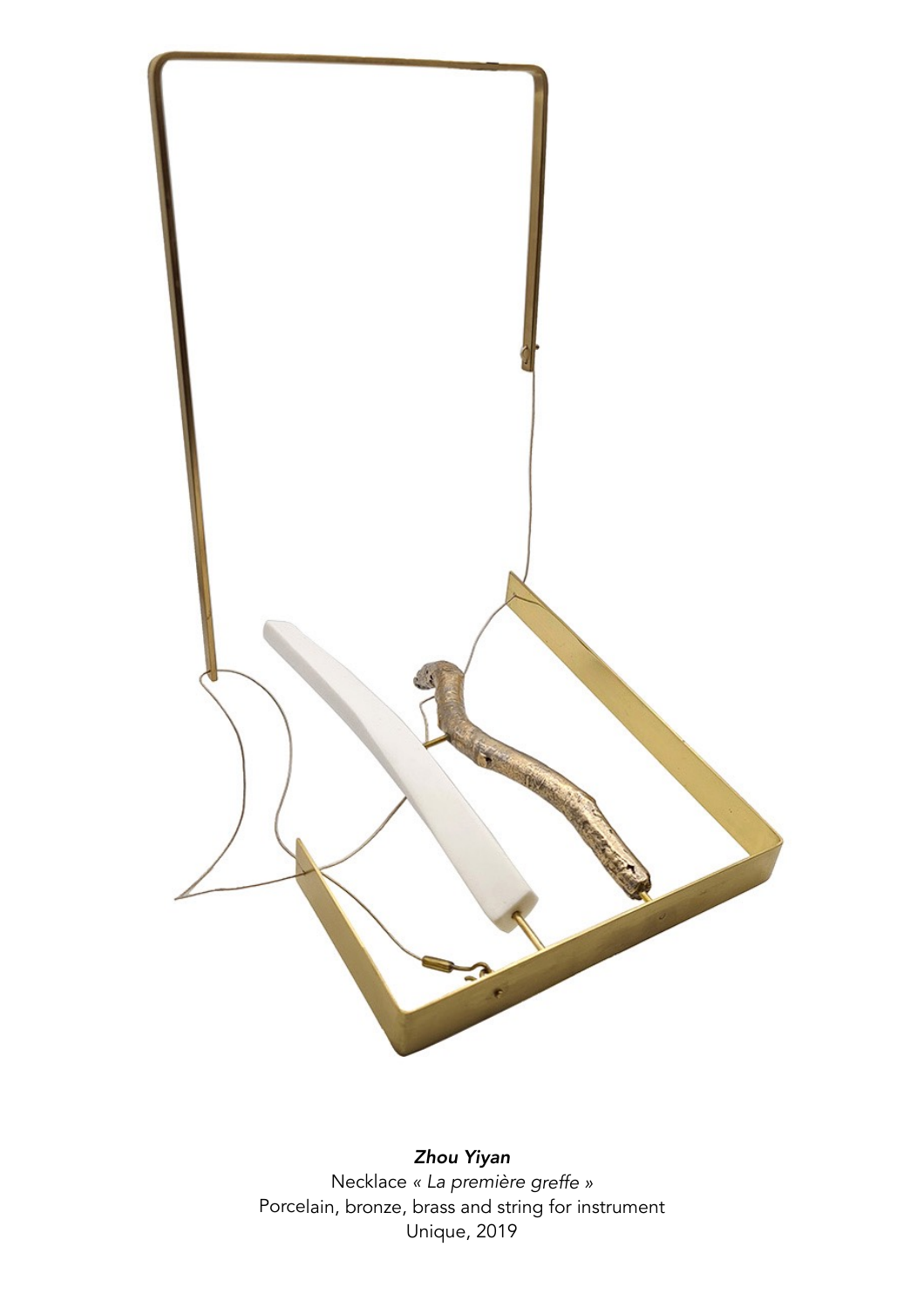

*Zhou Yiyan* Necklace *« La première greffe »* Porcelain, bronze, brass and string for instrument Unique, 2019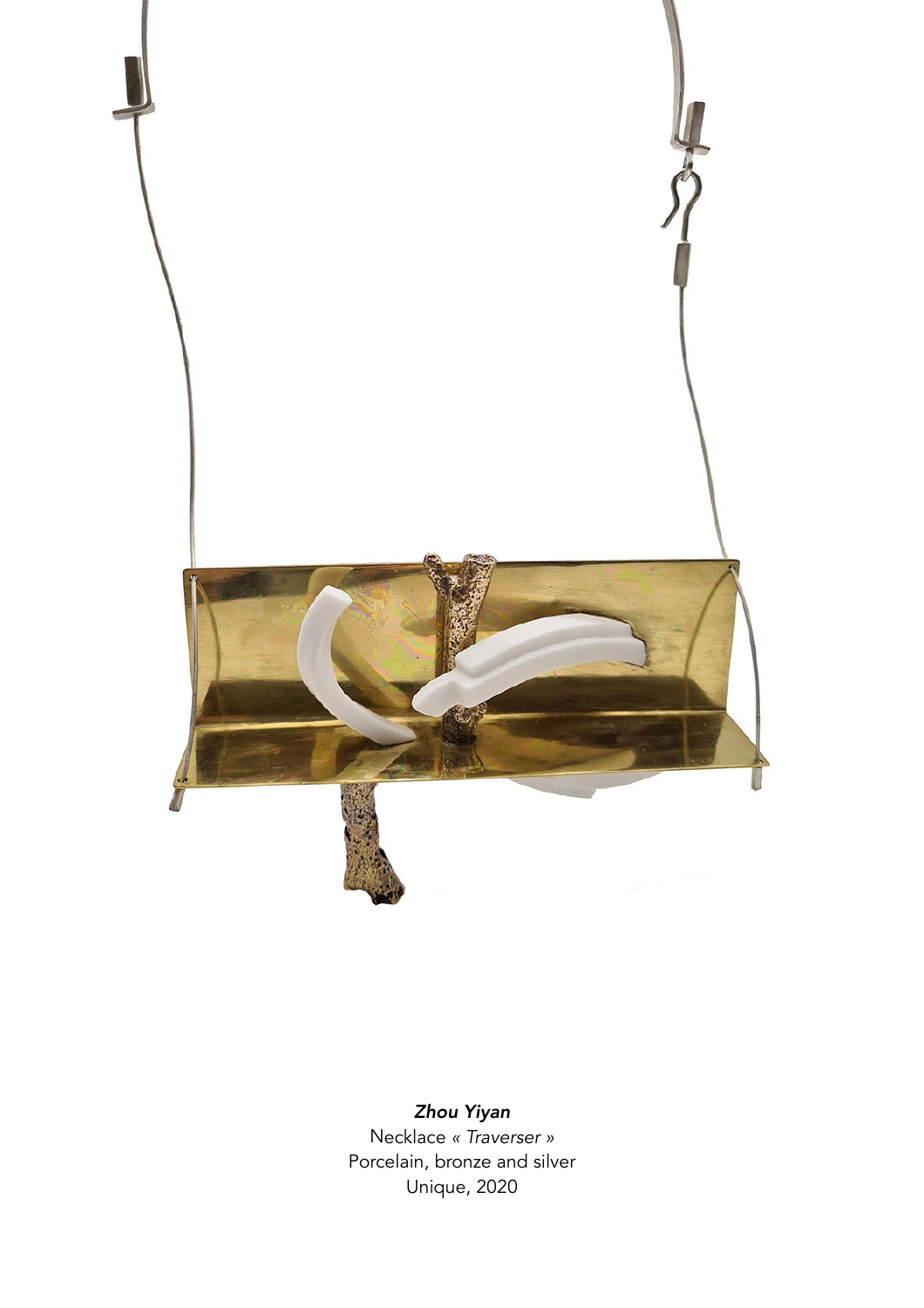

## *Zhou Yiyan* Necklace *« Traverser »*  Porcelain, bronze and silver Unique, 2020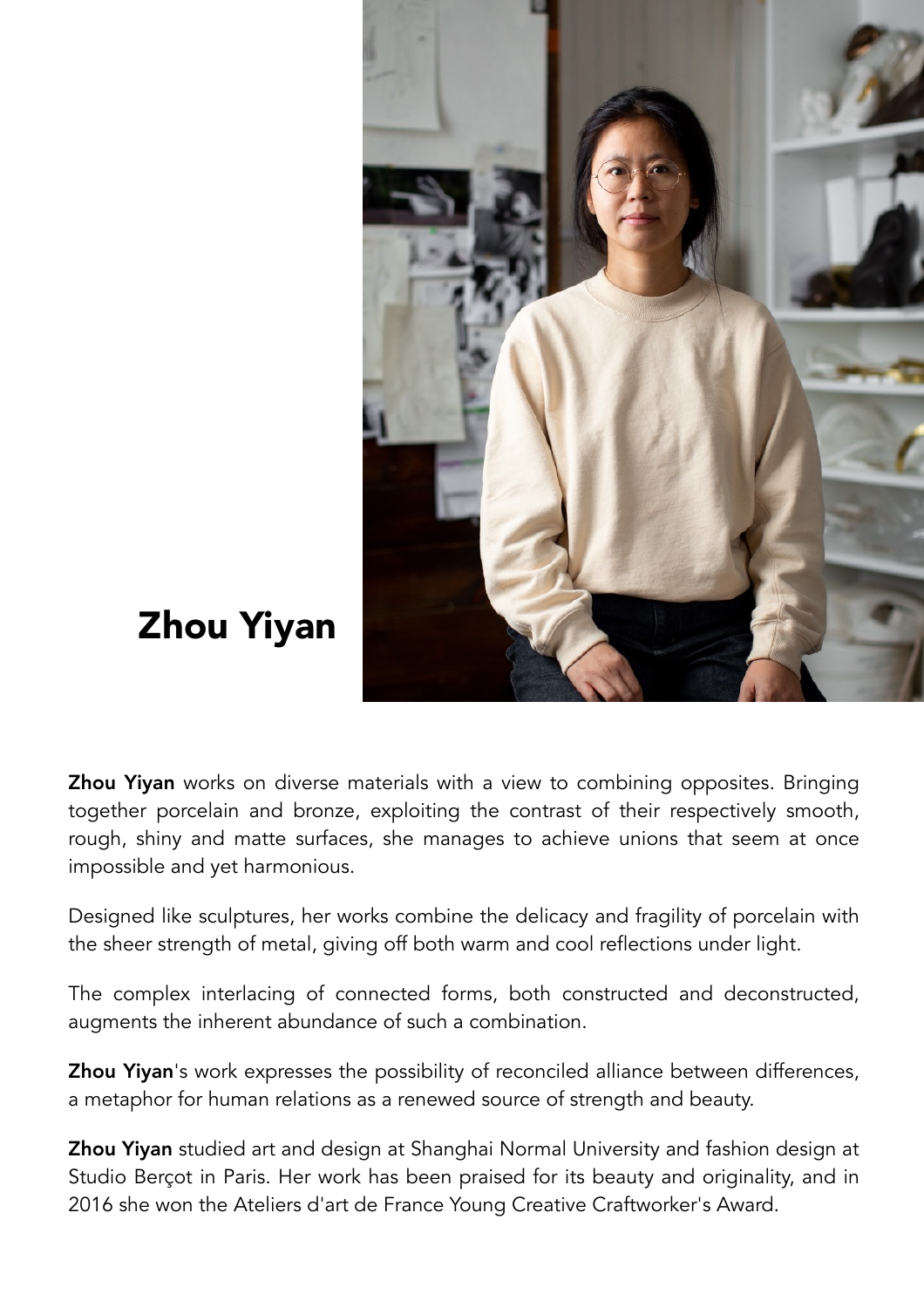

## Zhou Yiyan

**Zhou Yiyan** works on diverse materials with a view to combining opposites. Bringing together porcelain and bronze, exploiting the contrast of their respectively smooth, rough, shiny and matte surfaces, she manages to achieve unions that seem at once impossible and yet harmonious.

Designed like sculptures, her works combine the delicacy and fragility of porcelain with the sheer strength of metal, giving off both warm and cool reflections under light.

The complex interlacing of connected forms, both constructed and deconstructed, augments the inherent abundance of such a combination.

Zhou Yiyan's work expresses the possibility of reconciled alliance between differences, a metaphor for human relations as a renewed source of strength and beauty.

**Zhou Yiyan** studied art and design at Shanghai Normal University and fashion design at Studio Berçot in Paris. Her work has been praised for its beauty and originality, and in 2016 she won the Ateliers d'art de France Young Creative Craftworker's Award.